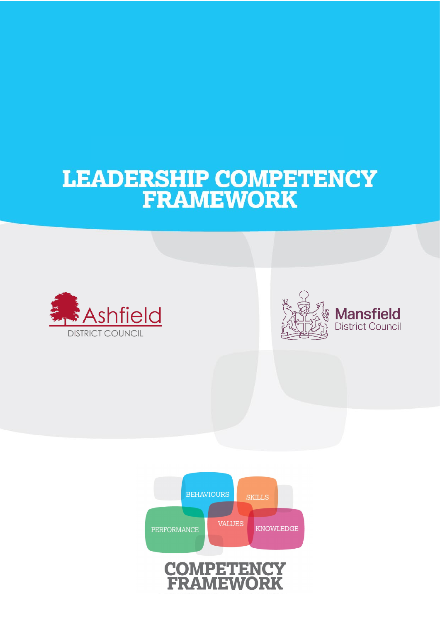# LEADERSHIP COMPETENCY<br>FRAMEWORK





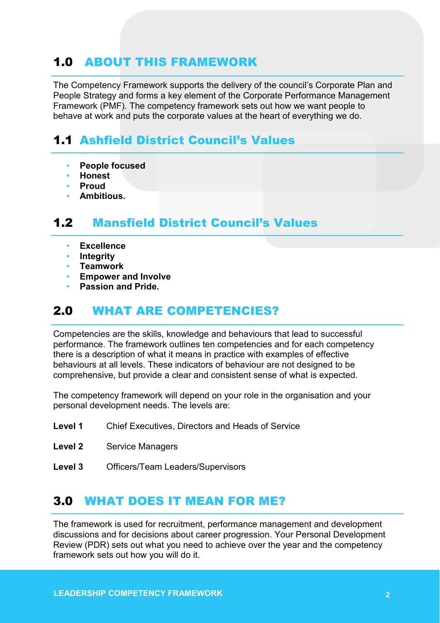# 1.0 ABOUT THIS FRAMEWORK

The Competency Framework supports the delivery of the council's Corporate Plan and People Strategy and forms a key element of the Corporate Performance Management Framework (PMF). The competency framework sets out how we want people to behave at work and puts the corporate values at the heart of everything we do.

# 1.1 Ashfield District Council's Values

- **People focused**
- **Honest**
- **Proud**
- **Ambitious.**

# 1.2 Mansfield District Council's Values

- **Excellence**
- **Integrity**
- **Teamwork**
- **Empower and Involve**
- **Passion and Pride.**

# 2.0 WHAT ARE COMPETENCIES?

Competencies are the skills, knowledge and behaviours that lead to successful performance. The framework outlines ten competencies and for each competency there is a description of what it means in practice with examples of effective behaviours at all levels. These indicators of behaviour are not designed to be comprehensive, but provide a clear and consistent sense of what is expected.

The competency framework will depend on your role in the organisation and your personal development needs. The levels are:

- **Level 1** Chief Executives, Directors and Heads of Service
- **Level 2** Service Managers
- **Level 3** Officers/Team Leaders/Supervisors

# 3.0 WHAT DOES IT MEAN FOR ME?

The framework is used for recruitment, performance management and development discussions and for decisions about career progression. Your Personal Development Review (PDR) sets out what you need to achieve over the year and the competency framework sets out how you will do it.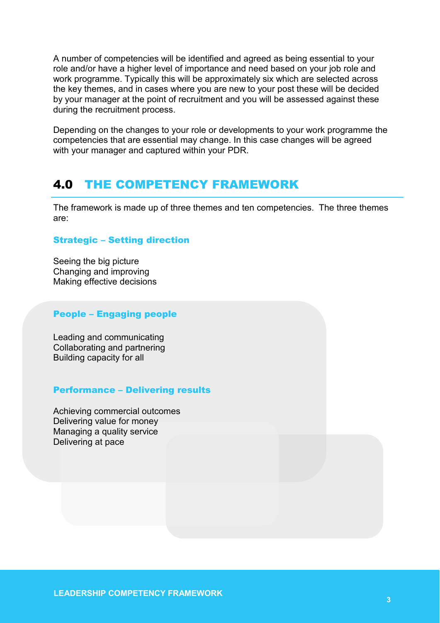A number of competencies will be identified and agreed as being essential to your role and/or have a higher level of importance and need based on your job role and work programme. Typically this will be approximately six which are selected across the key themes, and in cases where you are new to your post these will be decided by your manager at the point of recruitment and you will be assessed against these during the recruitment process.

Depending on the changes to your role or developments to your work programme the competencies that are essential may change. In this case changes will be agreed with your manager and captured within your PDR.

# 4.0 THE COMPETENCY FRAMEWORK

The framework is made up of three themes and ten competencies. The three themes are:

## Strategic – Setting direction

Seeing the big picture Changing and improving Making effective decisions

## People – Engaging people

Leading and communicating Collaborating and partnering Building capacity for all

#### Performance – Delivering results

Achieving commercial outcomes Delivering value for money Managing a quality service Delivering at pace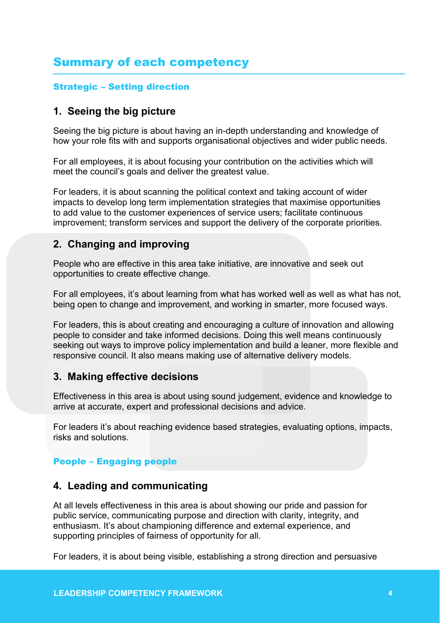# Summary of each competency

## Strategic – Setting direction

## **1. Seeing the big picture**

Seeing the big picture is about having an in-depth understanding and knowledge of how your role fits with and supports organisational objectives and wider public needs.

For all employees, it is about focusing your contribution on the activities which will meet the council's goals and deliver the greatest value.

For leaders, it is about scanning the political context and taking account of wider impacts to develop long term implementation strategies that maximise opportunities to add value to the customer experiences of service users; facilitate continuous improvement; transform services and support the delivery of the corporate priorities.

## **2. Changing and improving**

People who are effective in this area take initiative, are innovative and seek out opportunities to create effective change.

For all employees, it's about learning from what has worked well as well as what has not, being open to change and improvement, and working in smarter, more focused ways.

For leaders, this is about creating and encouraging a culture of innovation and allowing people to consider and take informed decisions. Doing this well means continuously seeking out ways to improve policy implementation and build a leaner, more flexible and responsive council. It also means making use of alternative delivery models.

## **3. Making effective decisions**

Effectiveness in this area is about using sound judgement, evidence and knowledge to arrive at accurate, expert and professional decisions and advice.

For leaders it's about reaching evidence based strategies, evaluating options, impacts, risks and solutions.

## People – Engaging people

## **4. Leading and communicating**

At all levels effectiveness in this area is about showing our pride and passion for public service, communicating purpose and direction with clarity, integrity, and enthusiasm. It's about championing difference and external experience, and supporting principles of fairness of opportunity for all.

For leaders, it is about being visible, establishing a strong direction and persuasive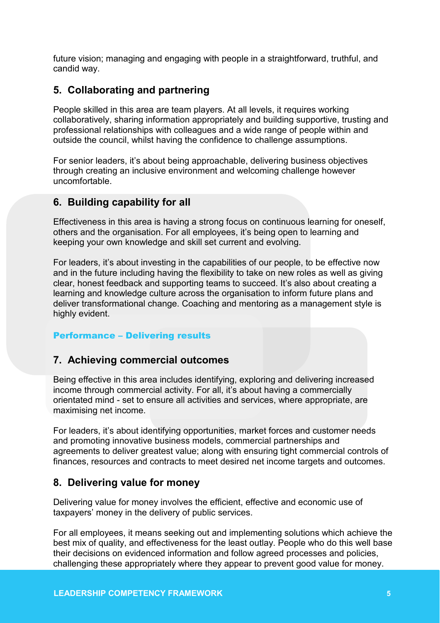future vision; managing and engaging with people in a straightforward, truthful, and candid way.

## **5. Collaborating and partnering**

People skilled in this area are team players. At all levels, it requires working collaboratively, sharing information appropriately and building supportive, trusting and professional relationships with colleagues and a wide range of people within and outside the council, whilst having the confidence to challenge assumptions.

For senior leaders, it's about being approachable, delivering business objectives through creating an inclusive environment and welcoming challenge however uncomfortable.

## **6. Building capability for all**

Effectiveness in this area is having a strong focus on continuous learning for oneself, others and the organisation. For all employees, it's being open to learning and keeping your own knowledge and skill set current and evolving.

For leaders, it's about investing in the capabilities of our people, to be effective now and in the future including having the flexibility to take on new roles as well as giving clear, honest feedback and supporting teams to succeed. It's also about creating a learning and knowledge culture across the organisation to inform future plans and deliver transformational change. Coaching and mentoring as a management style is highly evident.

## Performance – Delivering results

## **7. Achieving commercial outcomes**

Being effective in this area includes identifying, exploring and delivering increased income through commercial activity. For all, it's about having a commercially orientated mind - set to ensure all activities and services, where appropriate, are maximising net income.

For leaders, it's about identifying opportunities, market forces and customer needs and promoting innovative business models, commercial partnerships and agreements to deliver greatest value; along with ensuring tight commercial controls of finances, resources and contracts to meet desired net income targets and outcomes.

## **8. Delivering value for money**

Delivering value for money involves the efficient, effective and economic use of taxpayers' money in the delivery of public services.

For all employees, it means seeking out and implementing solutions which achieve the best mix of quality, and effectiveness for the least outlay. People who do this well base their decisions on evidenced information and follow agreed processes and policies, challenging these appropriately where they appear to prevent good value for money.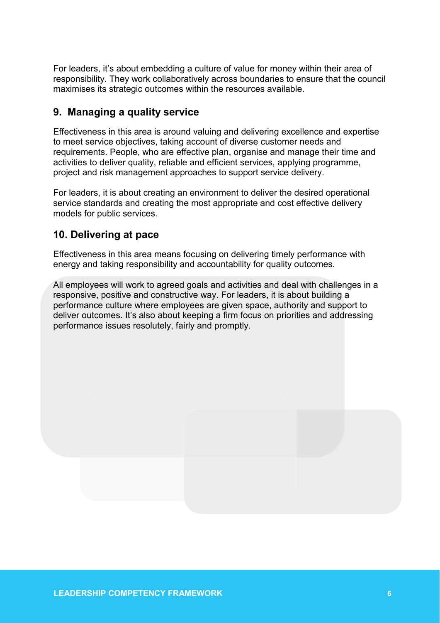For leaders, it's about embedding a culture of value for money within their area of responsibility. They work collaboratively across boundaries to ensure that the council maximises its strategic outcomes within the resources available.

## **9. Managing a quality service**

Effectiveness in this area is around valuing and delivering excellence and expertise to meet service objectives, taking account of diverse customer needs and requirements. People, who are effective plan, organise and manage their time and activities to deliver quality, reliable and efficient services, applying programme, project and risk management approaches to support service delivery.

For leaders, it is about creating an environment to deliver the desired operational service standards and creating the most appropriate and cost effective delivery models for public services.

## **10. Delivering at pace**

Effectiveness in this area means focusing on delivering timely performance with energy and taking responsibility and accountability for quality outcomes.

All employees will work to agreed goals and activities and deal with challenges in a responsive, positive and constructive way. For leaders, it is about building a performance culture where employees are given space, authority and support to deliver outcomes. It's also about keeping a firm focus on priorities and addressing performance issues resolutely, fairly and promptly.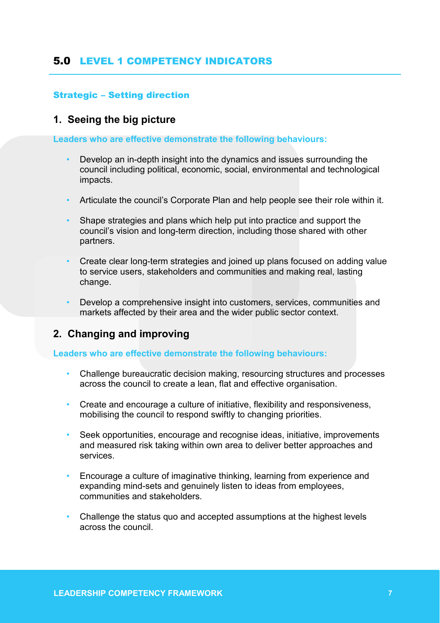## 5.0 LEVEL 1 COMPETENCY INDICATORS

#### Strategic – Setting direction

## **1. Seeing the big picture**

**Leaders who are effective demonstrate the following behaviours:**

- Develop an in-depth insight into the dynamics and issues surrounding the council including political, economic, social, environmental and technological impacts.
- Articulate the council's Corporate Plan and help people see their role within it.
- Shape strategies and plans which help put into practice and support the council's vision and long-term direction, including those shared with other partners.
- Create clear long-term strategies and joined up plans focused on adding value to service users, stakeholders and communities and making real, lasting change.
- Develop a comprehensive insight into customers, services, communities and markets affected by their area and the wider public sector context.

## **2. Changing and improving**

- Challenge bureaucratic decision making, resourcing structures and processes across the council to create a lean, flat and effective organisation.
- Create and encourage a culture of initiative, flexibility and responsiveness, mobilising the council to respond swiftly to changing priorities.
- Seek opportunities, encourage and recognise ideas, initiative, improvements and measured risk taking within own area to deliver better approaches and services.
- Encourage a culture of imaginative thinking, learning from experience and expanding mind-sets and genuinely listen to ideas from employees, communities and stakeholders.
- Challenge the status quo and accepted assumptions at the highest levels across the council.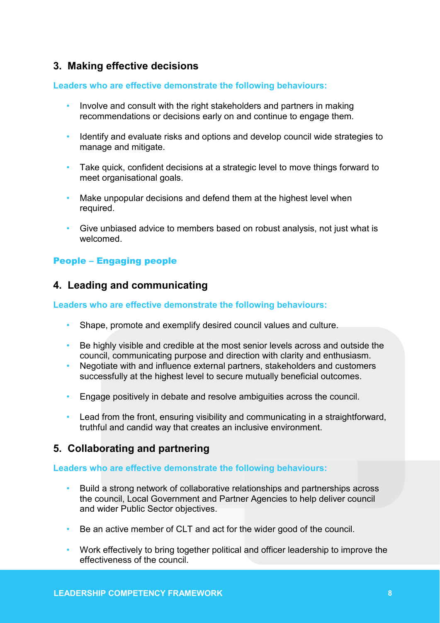## **3. Making effective decisions**

#### **Leaders who are effective demonstrate the following behaviours:**

- Involve and consult with the right stakeholders and partners in making recommendations or decisions early on and continue to engage them.
- Identify and evaluate risks and options and develop council wide strategies to manage and mitigate.
- Take quick, confident decisions at a strategic level to move things forward to meet organisational goals.
- Make unpopular decisions and defend them at the highest level when required.
- Give unbiased advice to members based on robust analysis, not just what is welcomed.

## People – Engaging people

## **4. Leading and communicating**

#### **Leaders who are effective demonstrate the following behaviours:**

- Shape, promote and exemplify desired council values and culture.
- Be highly visible and credible at the most senior levels across and outside the council, communicating purpose and direction with clarity and enthusiasm.
- Negotiate with and influence external partners, stakeholders and customers successfully at the highest level to secure mutually beneficial outcomes.
- Engage positively in debate and resolve ambiguities across the council.
- Lead from the front, ensuring visibility and communicating in a straightforward, truthful and candid way that creates an inclusive environment.

## **5. Collaborating and partnering**

- Build a strong network of collaborative relationships and partnerships across the council, Local Government and Partner Agencies to help deliver council and wider Public Sector objectives.
- Be an active member of CLT and act for the wider good of the council.
- Work effectively to bring together political and officer leadership to improve the effectiveness of the council.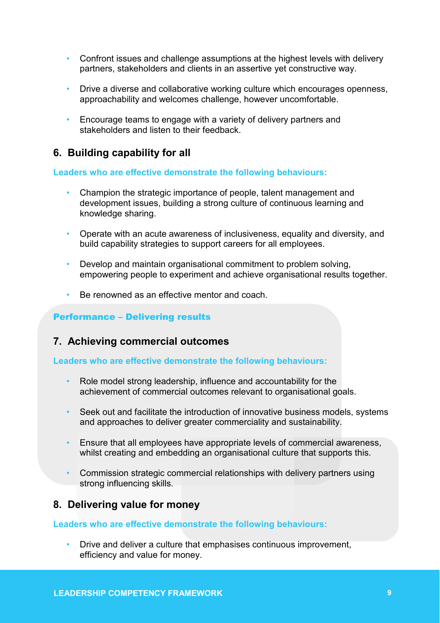- Confront issues and challenge assumptions at the highest levels with delivery partners, stakeholders and clients in an assertive yet constructive way.
- Drive a diverse and collaborative working culture which encourages openness, approachability and welcomes challenge, however uncomfortable.
- Encourage teams to engage with a variety of delivery partners and stakeholders and listen to their feedback

## **6. Building capability for all**

**Leaders who are effective demonstrate the following behaviours:**

- Champion the strategic importance of people, talent management and development issues, building a strong culture of continuous learning and knowledge sharing.
- Operate with an acute awareness of inclusiveness, equality and diversity, and build capability strategies to support careers for all employees.
- Develop and maintain organisational commitment to problem solving, empowering people to experiment and achieve organisational results together.
- Be renowned as an effective mentor and coach.

## Performance – Delivering results

## **7. Achieving commercial outcomes**

#### **Leaders who are effective demonstrate the following behaviours:**

- Role model strong leadership, influence and accountability for the achievement of commercial outcomes relevant to organisational goals.
- Seek out and facilitate the introduction of innovative business models, systems and approaches to deliver greater commerciality and sustainability.
- Ensure that all employees have appropriate levels of commercial awareness, whilst creating and embedding an organisational culture that supports this.
- Commission strategic commercial relationships with delivery partners using strong influencing skills.

## **8. Delivering value for money**

#### **Leaders who are effective demonstrate the following behaviours:**

• Drive and deliver a culture that emphasises continuous improvement, efficiency and value for money.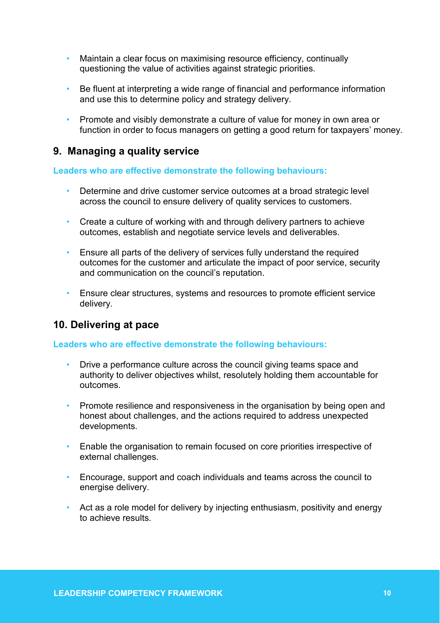- Maintain a clear focus on maximising resource efficiency, continually questioning the value of activities against strategic priorities.
- Be fluent at interpreting a wide range of financial and performance information and use this to determine policy and strategy delivery.
- Promote and visibly demonstrate a culture of value for money in own area or function in order to focus managers on getting a good return for taxpayers' money.

## **9. Managing a quality service**

#### **Leaders who are effective demonstrate the following behaviours:**

- Determine and drive customer service outcomes at a broad strategic level across the council to ensure delivery of quality services to customers.
- Create a culture of working with and through delivery partners to achieve outcomes, establish and negotiate service levels and deliverables.
- Ensure all parts of the delivery of services fully understand the required outcomes for the customer and articulate the impact of poor service, security and communication on the council's reputation.
- Ensure clear structures, systems and resources to promote efficient service delivery.

## **10. Delivering at pace**

- Drive a performance culture across the council giving teams space and authority to deliver objectives whilst, resolutely holding them accountable for outcomes.
- Promote resilience and responsiveness in the organisation by being open and honest about challenges, and the actions required to address unexpected developments.
- Enable the organisation to remain focused on core priorities irrespective of external challenges.
- Encourage, support and coach individuals and teams across the council to energise delivery.
- Act as a role model for delivery by injecting enthusiasm, positivity and energy to achieve results.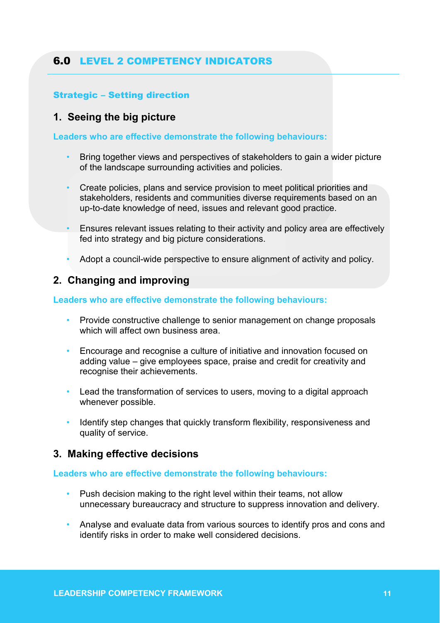## 6.0 LEVEL 2 COMPETENCY INDICATORS

## Strategic – Setting direction

## **1. Seeing the big picture**

**Leaders who are effective demonstrate the following behaviours:**

- Bring together views and perspectives of stakeholders to gain a wider picture of the landscape surrounding activities and policies.
- Create policies, plans and service provision to meet political priorities and stakeholders, residents and communities diverse requirements based on an up-to-date knowledge of need, issues and relevant good practice.
- Ensures relevant issues relating to their activity and policy area are effectively fed into strategy and big picture considerations.
- Adopt a council-wide perspective to ensure alignment of activity and policy.

## **2. Changing and improving**

#### **Leaders who are effective demonstrate the following behaviours:**

- Provide constructive challenge to senior management on change proposals which will affect own business area.
- Encourage and recognise a culture of initiative and innovation focused on adding value – give employees space, praise and credit for creativity and recognise their achievements.
- Lead the transformation of services to users, moving to a digital approach whenever possible.
- Identify step changes that quickly transform flexibility, responsiveness and quality of service.

## **3. Making effective decisions**

- Push decision making to the right level within their teams, not allow unnecessary bureaucracy and structure to suppress innovation and delivery.
- Analyse and evaluate data from various sources to identify pros and cons and identify risks in order to make well considered decisions.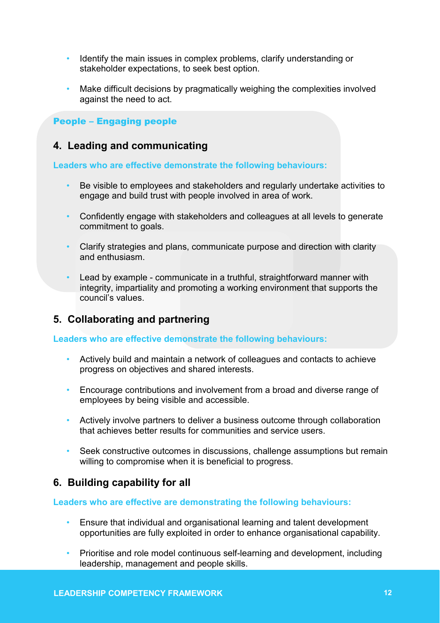- Identify the main issues in complex problems, clarify understanding or stakeholder expectations, to seek best option.
- Make difficult decisions by pragmatically weighing the complexities involved against the need to act.

#### People – Engaging people

## **4. Leading and communicating**

#### **Leaders who are effective demonstrate the following behaviours:**

- Be visible to employees and stakeholders and regularly undertake activities to engage and build trust with people involved in area of work.
- Confidently engage with stakeholders and colleagues at all levels to generate commitment to goals.
- Clarify strategies and plans, communicate purpose and direction with clarity and enthusiasm.
- Lead by example communicate in a truthful, straightforward manner with integrity, impartiality and promoting a working environment that supports the council's values.

## **5. Collaborating and partnering**

**Leaders who are effective demonstrate the following behaviours:**

- Actively build and maintain a network of colleagues and contacts to achieve progress on objectives and shared interests.
- Encourage contributions and involvement from a broad and diverse range of employees by being visible and accessible.
- Actively involve partners to deliver a business outcome through collaboration that achieves better results for communities and service users.
- Seek constructive outcomes in discussions, challenge assumptions but remain willing to compromise when it is beneficial to progress.

## **6. Building capability for all**

- Ensure that individual and organisational learning and talent development opportunities are fully exploited in order to enhance organisational capability.
- Prioritise and role model continuous self-learning and development, including leadership, management and people skills.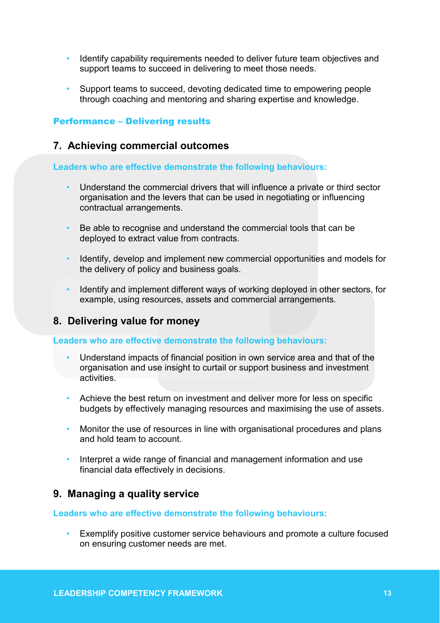- Identify capability requirements needed to deliver future team objectives and support teams to succeed in delivering to meet those needs.
- Support teams to succeed, devoting dedicated time to empowering people through coaching and mentoring and sharing expertise and knowledge.

#### Performance – Delivering results

#### **7. Achieving commercial outcomes**

**Leaders who are effective demonstrate the following behaviours:**

- Understand the commercial drivers that will influence a private or third sector organisation and the levers that can be used in negotiating or influencing contractual arrangements.
- Be able to recognise and understand the commercial tools that can be deployed to extract value from contracts.
- Identify, develop and implement new commercial opportunities and models for the delivery of policy and business goals.
- Identify and implement different ways of working deployed in other sectors, for example, using resources, assets and commercial arrangements.

## **8. Delivering value for money**

**Leaders who are effective demonstrate the following behaviours:**

- Understand impacts of financial position in own service area and that of the organisation and use insight to curtail or support business and investment activities.
- Achieve the best return on investment and deliver more for less on specific budgets by effectively managing resources and maximising the use of assets.
- Monitor the use of resources in line with organisational procedures and plans and hold team to account.
- Interpret a wide range of financial and management information and use financial data effectively in decisions.

## **9. Managing a quality service**

#### **Leaders who are effective demonstrate the following behaviours:**

• Exemplify positive customer service behaviours and promote a culture focused on ensuring customer needs are met.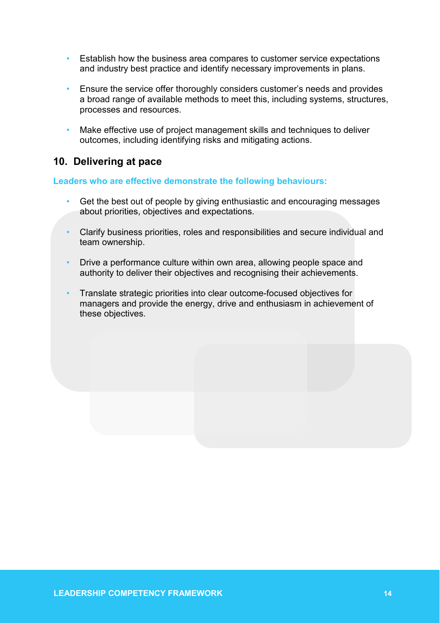- Establish how the business area compares to customer service expectations and industry best practice and identify necessary improvements in plans.
- Ensure the service offer thoroughly considers customer's needs and provides a broad range of available methods to meet this, including systems, structures, processes and resources.
- Make effective use of project management skills and techniques to deliver outcomes, including identifying risks and mitigating actions.

## **10. Delivering at pace**

- Get the best out of people by giving enthusiastic and encouraging messages about priorities, objectives and expectations.
- Clarify business priorities, roles and responsibilities and secure individual and team ownership.
- Drive a performance culture within own area, allowing people space and authority to deliver their objectives and recognising their achievements.
- Translate strategic priorities into clear outcome-focused objectives for managers and provide the energy, drive and enthusiasm in achievement of these objectives.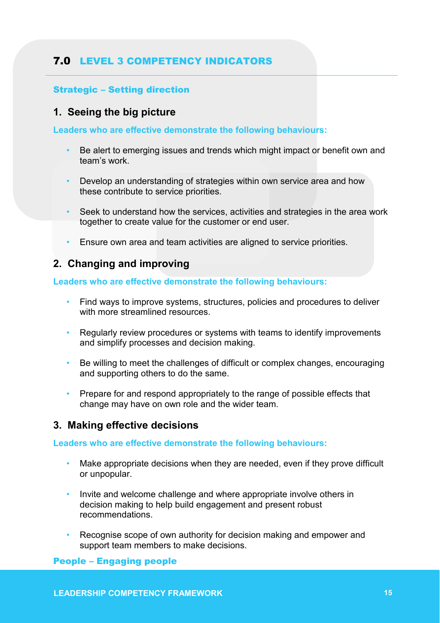## 7.0 LEVEL 3 COMPETENCY INDICATORS

## Strategic – Setting direction

## **1. Seeing the big picture**

**Leaders who are effective demonstrate the following behaviours:**

- Be alert to emerging issues and trends which might impact or benefit own and team's work.
- Develop an understanding of strategies within own service area and how these contribute to service priorities.
- Seek to understand how the services, activities and strategies in the area work together to create value for the customer or end user.
- Ensure own area and team activities are aligned to service priorities.

## **2. Changing and improving**

#### **Leaders who are effective demonstrate the following behaviours:**

- Find ways to improve systems, structures, policies and procedures to deliver with more streamlined resources
- Regularly review procedures or systems with teams to identify improvements and simplify processes and decision making.
- Be willing to meet the challenges of difficult or complex changes, encouraging and supporting others to do the same.
- Prepare for and respond appropriately to the range of possible effects that change may have on own role and the wider team.

## **3. Making effective decisions**

**Leaders who are effective demonstrate the following behaviours:**

- Make appropriate decisions when they are needed, even if they prove difficult or unpopular.
- Invite and welcome challenge and where appropriate involve others in decision making to help build engagement and present robust recommendations.
- Recognise scope of own authority for decision making and empower and support team members to make decisions.

## People – Engaging people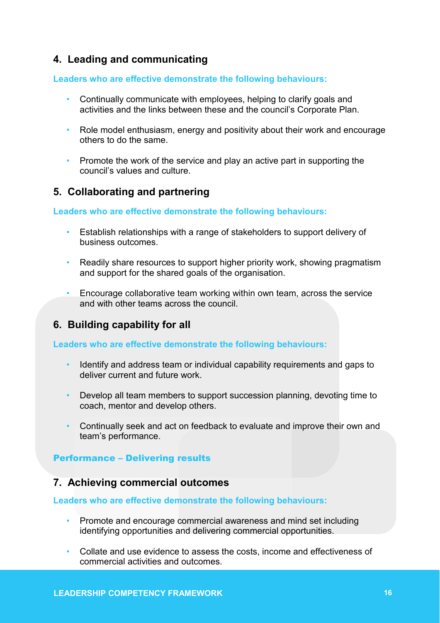## **4. Leading and communicating**

**Leaders who are effective demonstrate the following behaviours:**

- Continually communicate with employees, helping to clarify goals and activities and the links between these and the council's Corporate Plan.
- Role model enthusiasm, energy and positivity about their work and encourage others to do the same.
- Promote the work of the service and play an active part in supporting the council's values and culture.

## **5. Collaborating and partnering**

#### **Leaders who are effective demonstrate the following behaviours:**

- Establish relationships with a range of stakeholders to support delivery of business outcomes.
- Readily share resources to support higher priority work, showing pragmatism and support for the shared goals of the organisation.
- Encourage collaborative team working within own team, across the service and with other teams across the council.

## **6. Building capability for all**

## **Leaders who are effective demonstrate the following behaviours:**

- Identify and address team or individual capability requirements and gaps to deliver current and future work.
- Develop all team members to support succession planning, devoting time to coach, mentor and develop others.
- Continually seek and act on feedback to evaluate and improve their own and team's performance.

## Performance – Delivering results

## **7. Achieving commercial outcomes**

- Promote and encourage commercial awareness and mind set including identifying opportunities and delivering commercial opportunities.
- Collate and use evidence to assess the costs, income and effectiveness of commercial activities and outcomes. **16**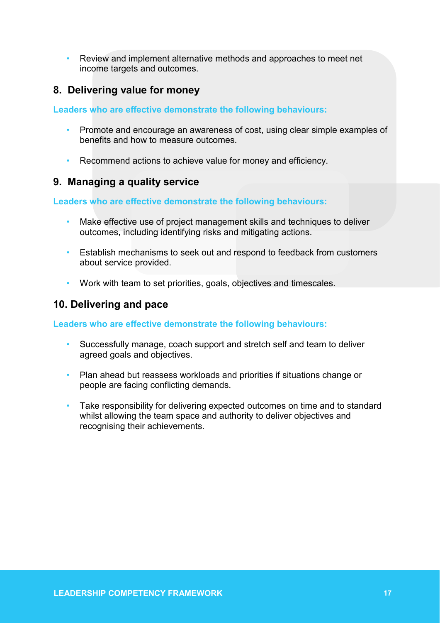• Review and implement alternative methods and approaches to meet net income targets and outcomes.

## **8. Delivering value for money**

**Leaders who are effective demonstrate the following behaviours:**

- Promote and encourage an awareness of cost, using clear simple examples of benefits and how to measure outcomes.
- Recommend actions to achieve value for money and efficiency.

## **9. Managing a quality service**

#### **Leaders who are effective demonstrate the following behaviours:**

- Make effective use of project management skills and techniques to deliver outcomes, including identifying risks and mitigating actions.
- Establish mechanisms to seek out and respond to feedback from customers about service provided.
- Work with team to set priorities, goals, objectives and timescales.

## **10. Delivering and pace**

- Successfully manage, coach support and stretch self and team to deliver agreed goals and objectives.
- Plan ahead but reassess workloads and priorities if situations change or people are facing conflicting demands.
- Take responsibility for delivering expected outcomes on time and to standard whilst allowing the team space and authority to deliver objectives and recognising their achievements.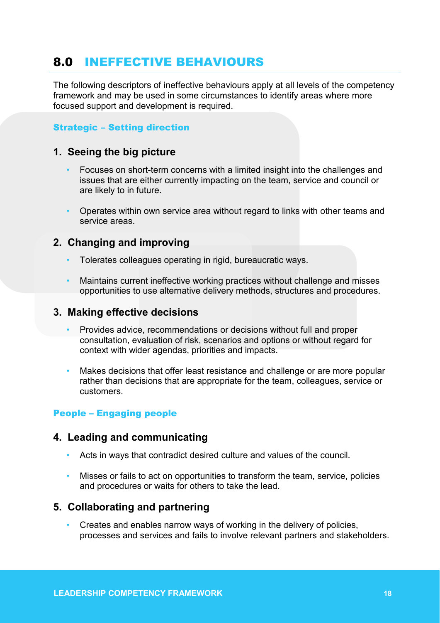# 8.0 INEFFECTIVE BEHAVIOURS

The following descriptors of ineffective behaviours apply at all levels of the competency framework and may be used in some circumstances to identify areas where more focused support and development is required.

## Strategic – Setting direction

## **1. Seeing the big picture**

- Focuses on short-term concerns with a limited insight into the challenges and issues that are either currently impacting on the team, service and council or are likely to in future.
- Operates within own service area without regard to links with other teams and service areas.

## **2. Changing and improving**

- Tolerates colleagues operating in rigid, bureaucratic ways.
- Maintains current ineffective working practices without challenge and misses opportunities to use alternative delivery methods, structures and procedures.

## **3. Making effective decisions**

- Provides advice, recommendations or decisions without full and proper consultation, evaluation of risk, scenarios and options or without regard for context with wider agendas, priorities and impacts.
- Makes decisions that offer least resistance and challenge or are more popular rather than decisions that are appropriate for the team, colleagues, service or customers.

## People – Engaging people

## **4. Leading and communicating**

- Acts in ways that contradict desired culture and values of the council.
- Misses or fails to act on opportunities to transform the team, service, policies and procedures or waits for others to take the lead.

## **5. Collaborating and partnering**

• Creates and enables narrow ways of working in the delivery of policies, processes and services and fails to involve relevant partners and stakeholders.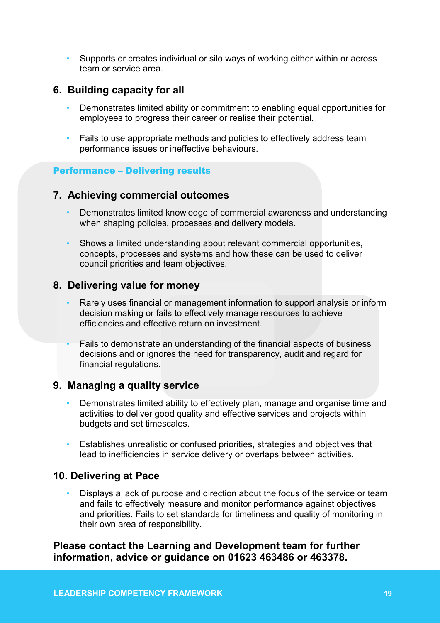• Supports or creates individual or silo ways of working either within or across team or service area.

## **6. Building capacity for all**

- Demonstrates limited ability or commitment to enabling equal opportunities for employees to progress their career or realise their potential.
- Fails to use appropriate methods and policies to effectively address team performance issues or ineffective behaviours.

#### Performance – Delivering results

## **7. Achieving commercial outcomes**

- Demonstrates limited knowledge of commercial awareness and understanding when shaping policies, processes and delivery models.
- Shows a limited understanding about relevant commercial opportunities, concepts, processes and systems and how these can be used to deliver council priorities and team objectives.

## **8. Delivering value for money**

- Rarely uses financial or management information to support analysis or inform decision making or fails to effectively manage resources to achieve efficiencies and effective return on investment.
- Fails to demonstrate an understanding of the financial aspects of business decisions and or ignores the need for transparency, audit and regard for financial regulations.

## **9. Managing a quality service**

- Demonstrates limited ability to effectively plan, manage and organise time and activities to deliver good quality and effective services and projects within budgets and set timescales.
- Establishes unrealistic or confused priorities, strategies and objectives that lead to inefficiencies in service delivery or overlaps between activities.

## **10. Delivering at Pace**

• Displays a lack of purpose and direction about the focus of the service or team and fails to effectively measure and monitor performance against objectives and priorities. Fails to set standards for timeliness and quality of monitoring in their own area of responsibility.

## **Please contact the Learning and Development team for further information, advice or guidance on 01623 463486 or 463378.**